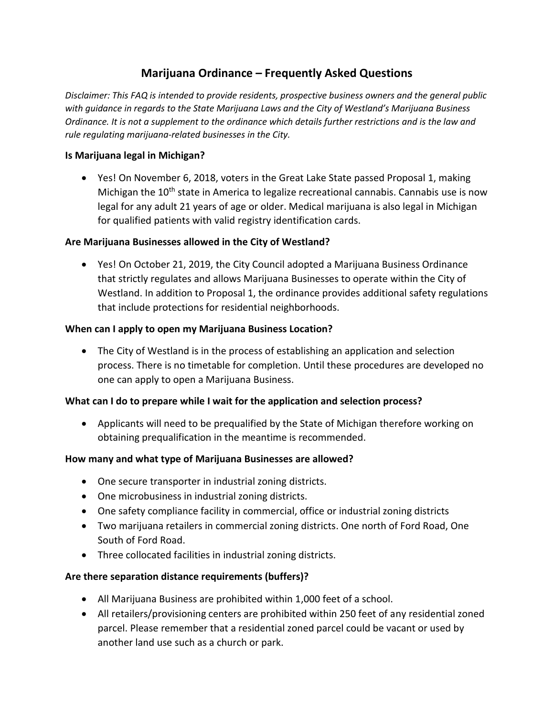# **Marijuana Ordinance – Frequently Asked Questions**

*Disclaimer: This FAQ is intended to provide residents, prospective business owners and the general public with guidance in regards to the State Marijuana Laws and the City of Westland's Marijuana Business Ordinance. It is not a supplement to the ordinance which details further restrictions and is the law and rule regulating marijuana-related businesses in the City.*

### **Is Marijuana legal in Michigan?**

 Yes! On November 6, 2018, voters in the Great Lake State passed Proposal 1, making Michigan the 10<sup>th</sup> state in America to legalize recreational cannabis. Cannabis use is now legal for any adult 21 years of age or older. Medical marijuana is also legal in Michigan for qualified patients with valid registry identification cards.

#### **Are Marijuana Businesses allowed in the City of Westland?**

 Yes! On October 21, 2019, the City Council adopted a Marijuana Business Ordinance that strictly regulates and allows Marijuana Businesses to operate within the City of Westland. In addition to Proposal 1, the ordinance provides additional safety regulations that include protections for residential neighborhoods.

## **When can I apply to open my Marijuana Business Location?**

 The City of Westland is in the process of establishing an application and selection process. There is no timetable for completion. Until these procedures are developed no one can apply to open a Marijuana Business.

## **What can I do to prepare while I wait for the application and selection process?**

 Applicants will need to be prequalified by the State of Michigan therefore working on obtaining prequalification in the meantime is recommended.

#### **How many and what type of Marijuana Businesses are allowed?**

- One secure transporter in industrial zoning districts.
- One microbusiness in industrial zoning districts.
- One safety compliance facility in commercial, office or industrial zoning districts
- Two marijuana retailers in commercial zoning districts. One north of Ford Road, One South of Ford Road.
- Three collocated facilities in industrial zoning districts.

## **Are there separation distance requirements (buffers)?**

- All Marijuana Business are prohibited within 1,000 feet of a school.
- All retailers/provisioning centers are prohibited within 250 feet of any residential zoned parcel. Please remember that a residential zoned parcel could be vacant or used by another land use such as a church or park.